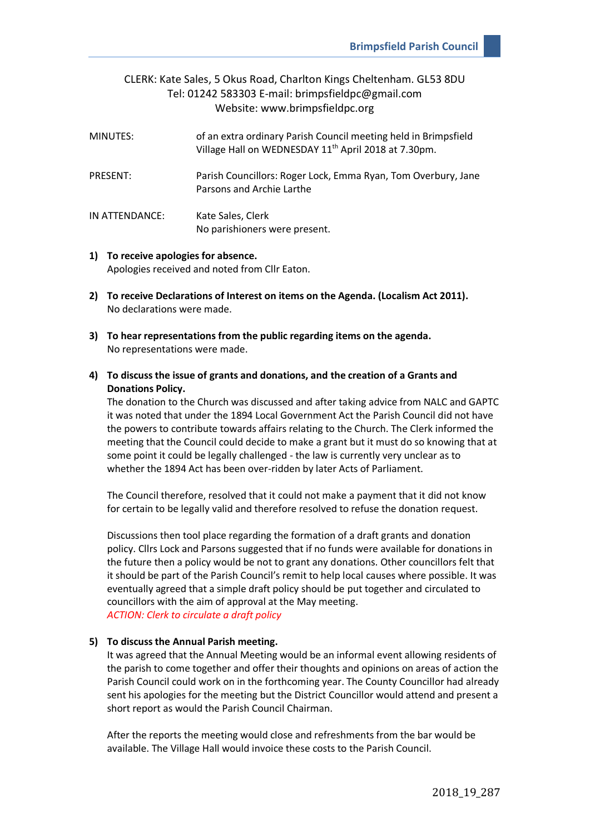## CLERK: Kate Sales, 5 Okus Road, Charlton Kings Cheltenham. GL53 8DU Tel: 01242 583303 E-mail: brimpsfieldpc@gmail.com Website: www.brimpsfieldpc.org

| MINUTES:       | of an extra ordinary Parish Council meeting held in Brimpsfield<br>Village Hall on WEDNESDAY 11 <sup>th</sup> April 2018 at 7.30pm. |
|----------------|-------------------------------------------------------------------------------------------------------------------------------------|
| PRESENT:       | Parish Councillors: Roger Lock, Emma Ryan, Tom Overbury, Jane<br>Parsons and Archie Larthe                                          |
| IN ATTENDANCE: | Kate Sales, Clerk<br>No parishioners were present.                                                                                  |

**1) To receive apologies for absence.** Apologies received and noted from Cllr Eaton.

- **2) To receive Declarations of Interest on items on the Agenda. (Localism Act 2011).** No declarations were made.
- **3) To hear representations from the public regarding items on the agenda.** No representations were made.
- **4) To discuss the issue of grants and donations, and the creation of a Grants and Donations Policy.**

The donation to the Church was discussed and after taking advice from NALC and GAPTC it was noted that under the 1894 Local Government Act the Parish Council did not have the powers to contribute towards affairs relating to the Church. The Clerk informed the meeting that the Council could decide to make a grant but it must do so knowing that at some point it could be legally challenged - the law is currently very unclear as to whether the 1894 Act has been over-ridden by later Acts of Parliament.

The Council therefore, resolved that it could not make a payment that it did not know for certain to be legally valid and therefore resolved to refuse the donation request.

Discussions then tool place regarding the formation of a draft grants and donation policy. Cllrs Lock and Parsons suggested that if no funds were available for donations in the future then a policy would be not to grant any donations. Other councillors felt that it should be part of the Parish Council's remit to help local causes where possible. It was eventually agreed that a simple draft policy should be put together and circulated to councillors with the aim of approval at the May meeting. *ACTION: Clerk to circulate a draft policy*

## **5) To discuss the Annual Parish meeting.**

It was agreed that the Annual Meeting would be an informal event allowing residents of the parish to come together and offer their thoughts and opinions on areas of action the Parish Council could work on in the forthcoming year. The County Councillor had already sent his apologies for the meeting but the District Councillor would attend and present a short report as would the Parish Council Chairman.

After the reports the meeting would close and refreshments from the bar would be available. The Village Hall would invoice these costs to the Parish Council.